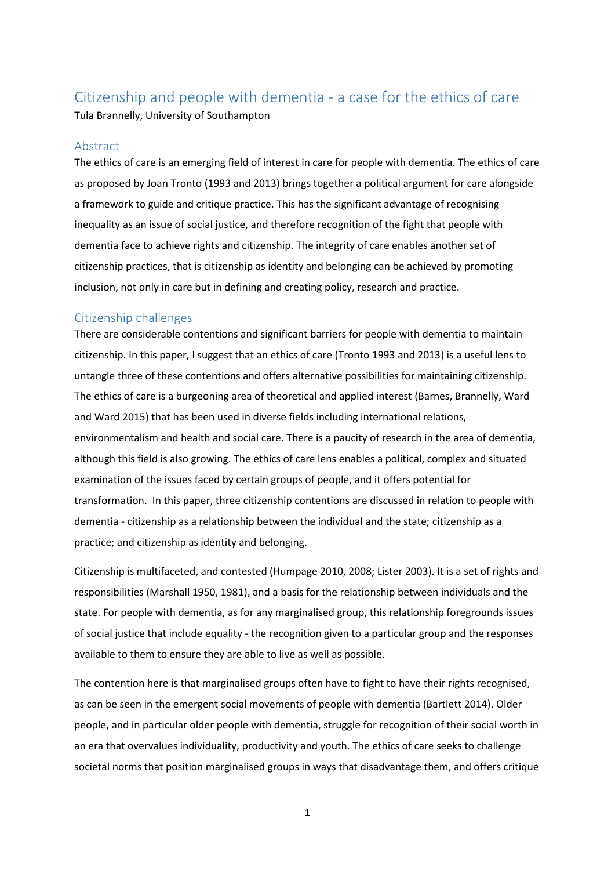# Citizenship and people with dementia - a case for the ethics of care

Tula Brannelly, University of Southampton

## Abstract

The ethics of care is an emerging field of interest in care for people with dementia. The ethics of care as proposed by Joan Tronto (1993 and 2013) brings together a political argument for care alongside a framework to guide and critique practice. This has the significant advantage of recognising inequality as an issue of social justice, and therefore recognition of the fight that people with dementia face to achieve rights and citizenship. The integrity of care enables another set of citizenship practices, that is citizenship as identity and belonging can be achieved by promoting inclusion, not only in care but in defining and creating policy, research and practice.

# Citizenship challenges

There are considerable contentions and significant barriers for people with dementia to maintain citizenship. In this paper, I suggest that an ethics of care (Tronto 1993 and 2013) is a useful lens to untangle three of these contentions and offers alternative possibilities for maintaining citizenship. The ethics of care is a burgeoning area of theoretical and applied interest (Barnes, Brannelly, Ward and Ward 2015) that has been used in diverse fields including international relations, environmentalism and health and social care. There is a paucity of research in the area of dementia, although this field is also growing. The ethics of care lens enables a political, complex and situated examination of the issues faced by certain groups of people, and it offers potential for transformation. In this paper, three citizenship contentions are discussed in relation to people with dementia - citizenship as a relationship between the individual and the state; citizenship as a practice; and citizenship as identity and belonging.

Citizenship is multifaceted, and contested (Humpage 2010, 2008; Lister 2003). It is a set of rights and responsibilities (Marshall 1950, 1981), and a basis for the relationship between individuals and the state. For people with dementia, as for any marginalised group, this relationship foregrounds issues of social justice that include equality - the recognition given to a particular group and the responses available to them to ensure they are able to live as well as possible.

The contention here is that marginalised groups often have to fight to have their rights recognised, as can be seen in the emergent social movements of people with dementia (Bartlett 2014). Older people, and in particular older people with dementia, struggle for recognition of their social worth in an era that overvalues individuality, productivity and youth. The ethics of care seeks to challenge societal norms that position marginalised groups in ways that disadvantage them, and offers critique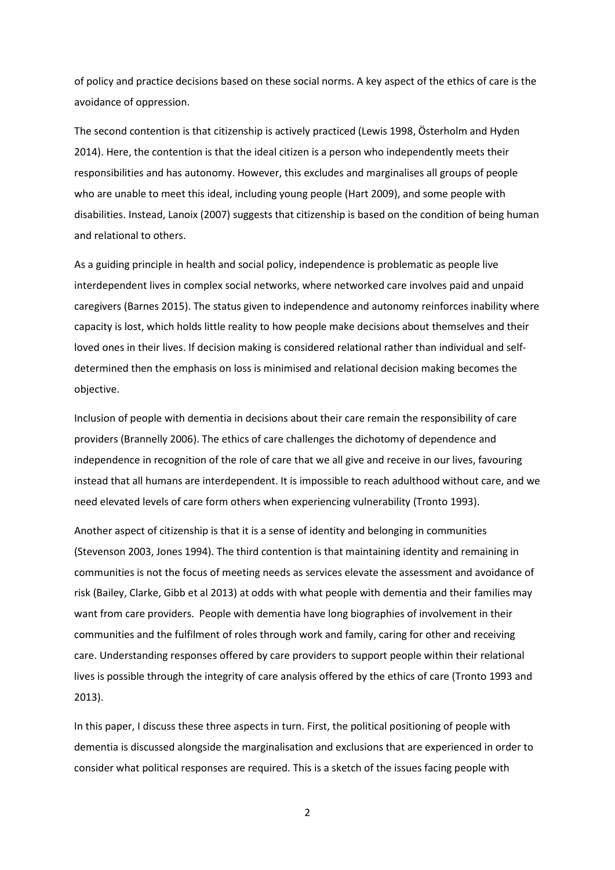of policy and practice decisions based on these social norms. A key aspect of the ethics of care is the avoidance of oppression.

The second contention is that citizenship is actively practiced (Lewis 1998, Österholm and Hyden 2014). Here, the contention is that the ideal citizen is a person who independently meets their responsibilities and has autonomy. However, this excludes and marginalises all groups of people who are unable to meet this ideal, including young people (Hart 2009), and some people with disabilities. Instead, Lanoix (2007) suggests that citizenship is based on the condition of being human and relational to others.

As a guiding principle in health and social policy, independence is problematic as people live interdependent lives in complex social networks, where networked care involves paid and unpaid caregivers (Barnes 2015). The status given to independence and autonomy reinforces inability where capacity is lost, which holds little reality to how people make decisions about themselves and their loved ones in their lives. If decision making is considered relational rather than individual and selfdetermined then the emphasis on loss is minimised and relational decision making becomes the objective.

Inclusion of people with dementia in decisions about their care remain the responsibility of care providers (Brannelly 2006). The ethics of care challenges the dichotomy of dependence and independence in recognition of the role of care that we all give and receive in our lives, favouring instead that all humans are interdependent. It is impossible to reach adulthood without care, and we need elevated levels of care form others when experiencing vulnerability (Tronto 1993).

Another aspect of citizenship is that it is a sense of identity and belonging in communities (Stevenson 2003, Jones 1994). The third contention is that maintaining identity and remaining in communities is not the focus of meeting needs as services elevate the assessment and avoidance of risk (Bailey, Clarke, Gibb et al 2013) at odds with what people with dementia and their families may want from care providers. People with dementia have long biographies of involvement in their communities and the fulfilment of roles through work and family, caring for other and receiving care. Understanding responses offered by care providers to support people within their relational lives is possible through the integrity of care analysis offered by the ethics of care (Tronto 1993 and 2013).

In this paper, I discuss these three aspects in turn. First, the political positioning of people with dementia is discussed alongside the marginalisation and exclusions that are experienced in order to consider what political responses are required. This is a sketch of the issues facing people with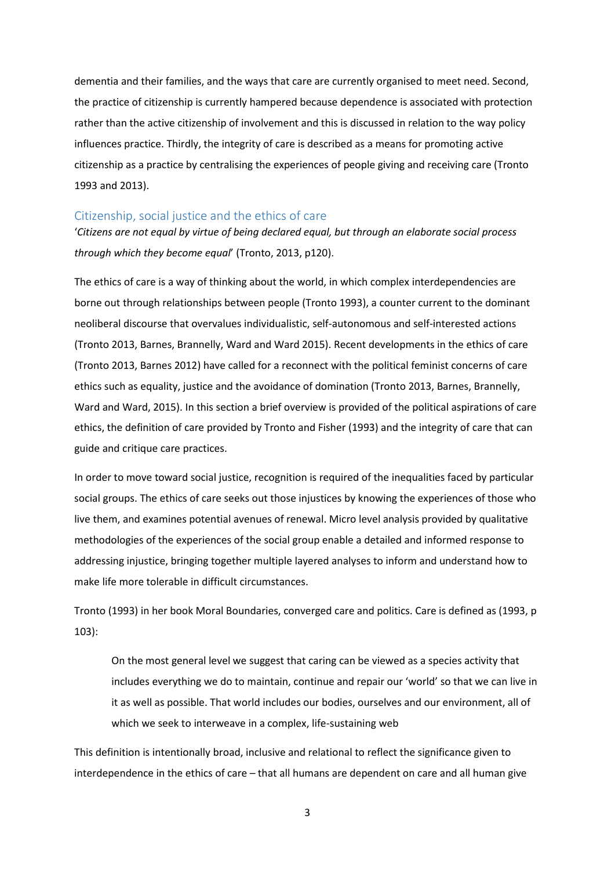dementia and their families, and the ways that care are currently organised to meet need. Second, the practice of citizenship is currently hampered because dependence is associated with protection rather than the active citizenship of involvement and this is discussed in relation to the way policy influences practice. Thirdly, the integrity of care is described as a means for promoting active citizenship as a practice by centralising the experiences of people giving and receiving care (Tronto 1993 and 2013).

#### Citizenship, social justice and the ethics of care

'*Citizens are not equal by virtue of being declared equal, but through an elaborate social process through which they become equal*' (Tronto, 2013, p120).

The ethics of care is a way of thinking about the world, in which complex interdependencies are borne out through relationships between people (Tronto 1993), a counter current to the dominant neoliberal discourse that overvalues individualistic, self-autonomous and self-interested actions (Tronto 2013, Barnes, Brannelly, Ward and Ward 2015). Recent developments in the ethics of care (Tronto 2013, Barnes 2012) have called for a reconnect with the political feminist concerns of care ethics such as equality, justice and the avoidance of domination (Tronto 2013, Barnes, Brannelly, Ward and Ward, 2015). In this section a brief overview is provided of the political aspirations of care ethics, the definition of care provided by Tronto and Fisher (1993) and the integrity of care that can guide and critique care practices.

In order to move toward social justice, recognition is required of the inequalities faced by particular social groups. The ethics of care seeks out those injustices by knowing the experiences of those who live them, and examines potential avenues of renewal. Micro level analysis provided by qualitative methodologies of the experiences of the social group enable a detailed and informed response to addressing injustice, bringing together multiple layered analyses to inform and understand how to make life more tolerable in difficult circumstances.

Tronto (1993) in her book Moral Boundaries, converged care and politics. Care is defined as (1993, p 103):

On the most general level we suggest that caring can be viewed as a species activity that includes everything we do to maintain, continue and repair our 'world' so that we can live in it as well as possible. That world includes our bodies, ourselves and our environment, all of which we seek to interweave in a complex, life-sustaining web

This definition is intentionally broad, inclusive and relational to reflect the significance given to interdependence in the ethics of care – that all humans are dependent on care and all human give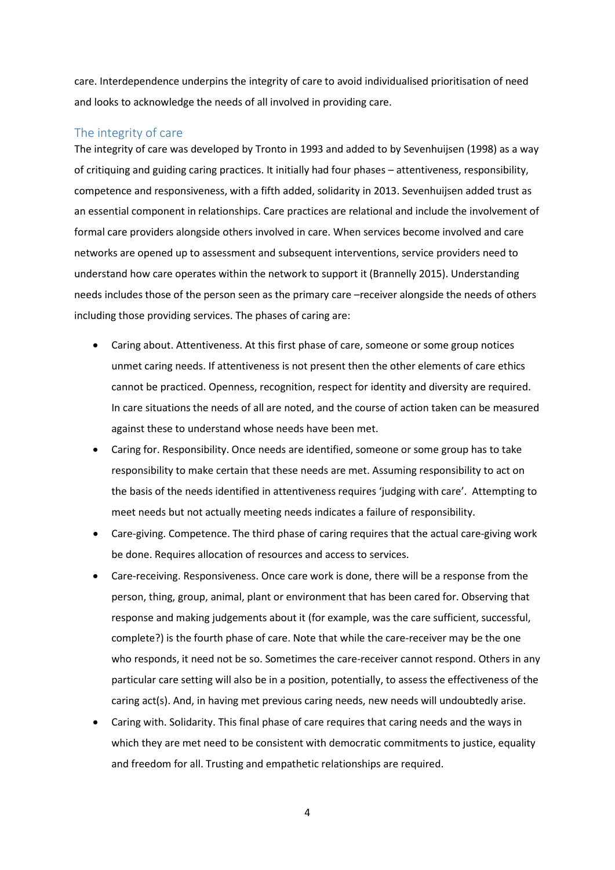care. Interdependence underpins the integrity of care to avoid individualised prioritisation of need and looks to acknowledge the needs of all involved in providing care.

### The integrity of care

The integrity of care was developed by Tronto in 1993 and added to by Sevenhuijsen (1998) as a way of critiquing and guiding caring practices. It initially had four phases – attentiveness, responsibility, competence and responsiveness, with a fifth added, solidarity in 2013. Sevenhuijsen added trust as an essential component in relationships. Care practices are relational and include the involvement of formal care providers alongside others involved in care. When services become involved and care networks are opened up to assessment and subsequent interventions, service providers need to understand how care operates within the network to support it (Brannelly 2015). Understanding needs includes those of the person seen as the primary care –receiver alongside the needs of others including those providing services. The phases of caring are:

- Caring about. Attentiveness. At this first phase of care, someone or some group notices unmet caring needs. If attentiveness is not present then the other elements of care ethics cannot be practiced. Openness, recognition, respect for identity and diversity are required. In care situations the needs of all are noted, and the course of action taken can be measured against these to understand whose needs have been met.
- Caring for. Responsibility. Once needs are identified, someone or some group has to take responsibility to make certain that these needs are met. Assuming responsibility to act on the basis of the needs identified in attentiveness requires 'judging with care'. Attempting to meet needs but not actually meeting needs indicates a failure of responsibility.
- Care-giving. Competence. The third phase of caring requires that the actual care-giving work be done. Requires allocation of resources and access to services.
- Care-receiving. Responsiveness. Once care work is done, there will be a response from the person, thing, group, animal, plant or environment that has been cared for. Observing that response and making judgements about it (for example, was the care sufficient, successful, complete?) is the fourth phase of care. Note that while the care-receiver may be the one who responds, it need not be so. Sometimes the care-receiver cannot respond. Others in any particular care setting will also be in a position, potentially, to assess the effectiveness of the caring act(s). And, in having met previous caring needs, new needs will undoubtedly arise.
- Caring with. Solidarity. This final phase of care requires that caring needs and the ways in which they are met need to be consistent with democratic commitments to justice, equality and freedom for all. Trusting and empathetic relationships are required.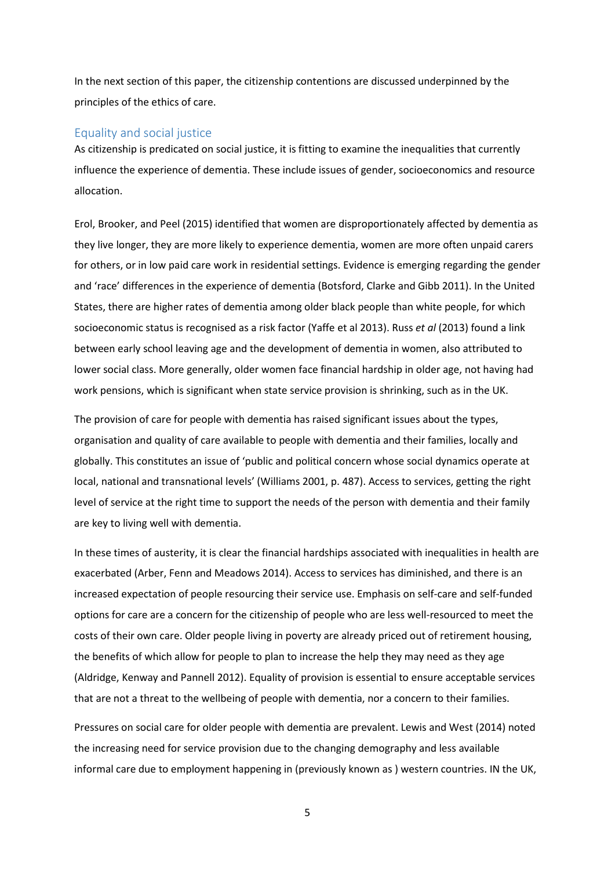In the next section of this paper, the citizenship contentions are discussed underpinned by the principles of the ethics of care.

#### Equality and social justice

As citizenship is predicated on social justice, it is fitting to examine the inequalities that currently influence the experience of dementia. These include issues of gender, socioeconomics and resource allocation.

Erol, Brooker, and Peel (2015) identified that women are disproportionately affected by dementia as they live longer, they are more likely to experience dementia, women are more often unpaid carers for others, or in low paid care work in residential settings. Evidence is emerging regarding the gender and 'race' differences in the experience of dementia (Botsford, Clarke and Gibb 2011). In the United States, there are higher rates of dementia among older black people than white people, for which socioeconomic status is recognised as a risk factor (Yaffe et al 2013). Russ *et al* (2013) found a link between early school leaving age and the development of dementia in women, also attributed to lower social class. More generally, older women face financial hardship in older age, not having had work pensions, which is significant when state service provision is shrinking, such as in the UK.

The provision of care for people with dementia has raised significant issues about the types, organisation and quality of care available to people with dementia and their families, locally and globally. This constitutes an issue of 'public and political concern whose social dynamics operate at local, national and transnational levels' (Williams 2001, p. 487). Access to services, getting the right level of service at the right time to support the needs of the person with dementia and their family are key to living well with dementia.

In these times of austerity, it is clear the financial hardships associated with inequalities in health are exacerbated (Arber, Fenn and Meadows 2014). Access to services has diminished, and there is an increased expectation of people resourcing their service use. Emphasis on self-care and self-funded options for care are a concern for the citizenship of people who are less well-resourced to meet the costs of their own care. Older people living in poverty are already priced out of retirement housing, the benefits of which allow for people to plan to increase the help they may need as they age (Aldridge, Kenway and Pannell 2012). Equality of provision is essential to ensure acceptable services that are not a threat to the wellbeing of people with dementia, nor a concern to their families.

Pressures on social care for older people with dementia are prevalent. Lewis and West (2014) noted the increasing need for service provision due to the changing demography and less available informal care due to employment happening in (previously known as ) western countries. IN the UK,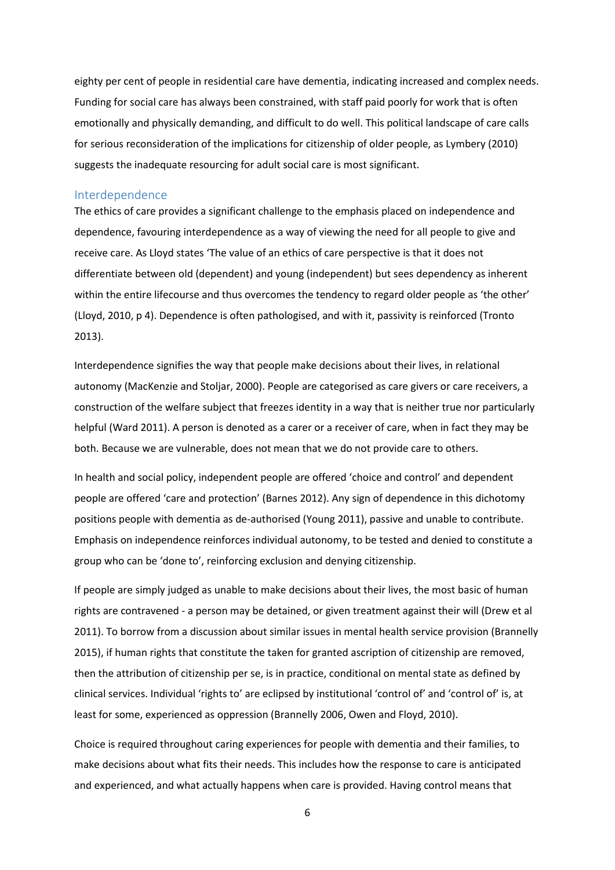eighty per cent of people in residential care have dementia, indicating increased and complex needs. Funding for social care has always been constrained, with staff paid poorly for work that is often emotionally and physically demanding, and difficult to do well. This political landscape of care calls for serious reconsideration of the implications for citizenship of older people, as Lymbery (2010) suggests the inadequate resourcing for adult social care is most significant.

#### Interdependence

The ethics of care provides a significant challenge to the emphasis placed on independence and dependence, favouring interdependence as a way of viewing the need for all people to give and receive care. As Lloyd states 'The value of an ethics of care perspective is that it does not differentiate between old (dependent) and young (independent) but sees dependency as inherent within the entire lifecourse and thus overcomes the tendency to regard older people as 'the other' (Lloyd, 2010, p 4). Dependence is often pathologised, and with it, passivity is reinforced (Tronto 2013).

Interdependence signifies the way that people make decisions about their lives, in relational autonomy (MacKenzie and Stoljar, 2000). People are categorised as care givers or care receivers, a construction of the welfare subject that freezes identity in a way that is neither true nor particularly helpful (Ward 2011). A person is denoted as a carer or a receiver of care, when in fact they may be both. Because we are vulnerable, does not mean that we do not provide care to others.

In health and social policy, independent people are offered 'choice and control' and dependent people are offered 'care and protection' (Barnes 2012). Any sign of dependence in this dichotomy positions people with dementia as de-authorised (Young 2011), passive and unable to contribute. Emphasis on independence reinforces individual autonomy, to be tested and denied to constitute a group who can be 'done to', reinforcing exclusion and denying citizenship.

If people are simply judged as unable to make decisions about their lives, the most basic of human rights are contravened - a person may be detained, or given treatment against their will (Drew et al 2011). To borrow from a discussion about similar issues in mental health service provision (Brannelly 2015), if human rights that constitute the taken for granted ascription of citizenship are removed, then the attribution of citizenship per se, is in practice, conditional on mental state as defined by clinical services. Individual 'rights to' are eclipsed by institutional 'control of' and 'control of' is, at least for some, experienced as oppression (Brannelly 2006, Owen and Floyd, 2010).

Choice is required throughout caring experiences for people with dementia and their families, to make decisions about what fits their needs. This includes how the response to care is anticipated and experienced, and what actually happens when care is provided. Having control means that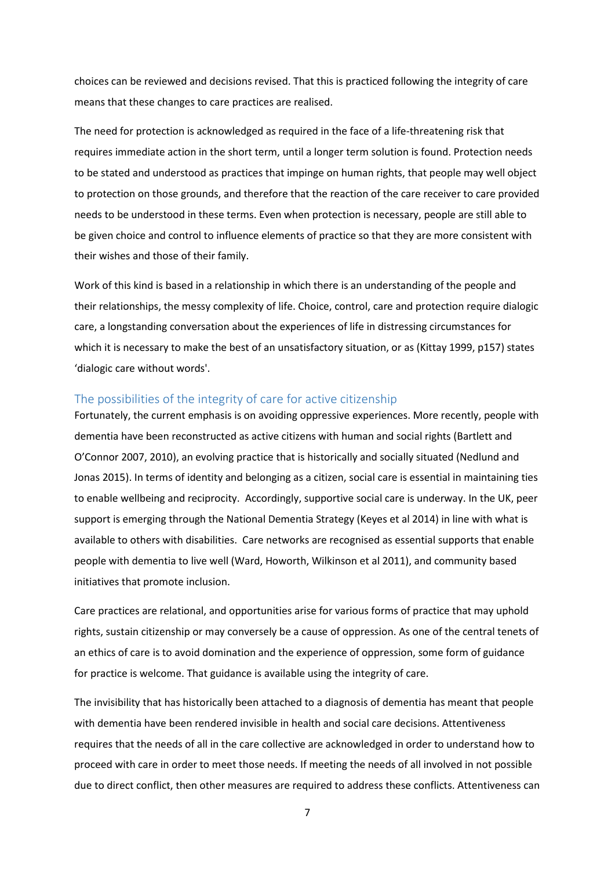choices can be reviewed and decisions revised. That this is practiced following the integrity of care means that these changes to care practices are realised.

The need for protection is acknowledged as required in the face of a life-threatening risk that requires immediate action in the short term, until a longer term solution is found. Protection needs to be stated and understood as practices that impinge on human rights, that people may well object to protection on those grounds, and therefore that the reaction of the care receiver to care provided needs to be understood in these terms. Even when protection is necessary, people are still able to be given choice and control to influence elements of practice so that they are more consistent with their wishes and those of their family.

Work of this kind is based in a relationship in which there is an understanding of the people and their relationships, the messy complexity of life. Choice, control, care and protection require dialogic care, a longstanding conversation about the experiences of life in distressing circumstances for which it is necessary to make the best of an unsatisfactory situation, or as (Kittay 1999, p157) states 'dialogic care without words'.

#### The possibilities of the integrity of care for active citizenship

Fortunately, the current emphasis is on avoiding oppressive experiences. More recently, people with dementia have been reconstructed as active citizens with human and social rights (Bartlett and O'Connor 2007, 2010), an evolving practice that is historically and socially situated (Nedlund and Jonas 2015). In terms of identity and belonging as a citizen, social care is essential in maintaining ties to enable wellbeing and reciprocity. Accordingly, supportive social care is underway. In the UK, peer support is emerging through the National Dementia Strategy (Keyes et al 2014) in line with what is available to others with disabilities. Care networks are recognised as essential supports that enable people with dementia to live well (Ward, Howorth, Wilkinson et al 2011), and community based initiatives that promote inclusion.

Care practices are relational, and opportunities arise for various forms of practice that may uphold rights, sustain citizenship or may conversely be a cause of oppression. As one of the central tenets of an ethics of care is to avoid domination and the experience of oppression, some form of guidance for practice is welcome. That guidance is available using the integrity of care.

The invisibility that has historically been attached to a diagnosis of dementia has meant that people with dementia have been rendered invisible in health and social care decisions. Attentiveness requires that the needs of all in the care collective are acknowledged in order to understand how to proceed with care in order to meet those needs. If meeting the needs of all involved in not possible due to direct conflict, then other measures are required to address these conflicts. Attentiveness can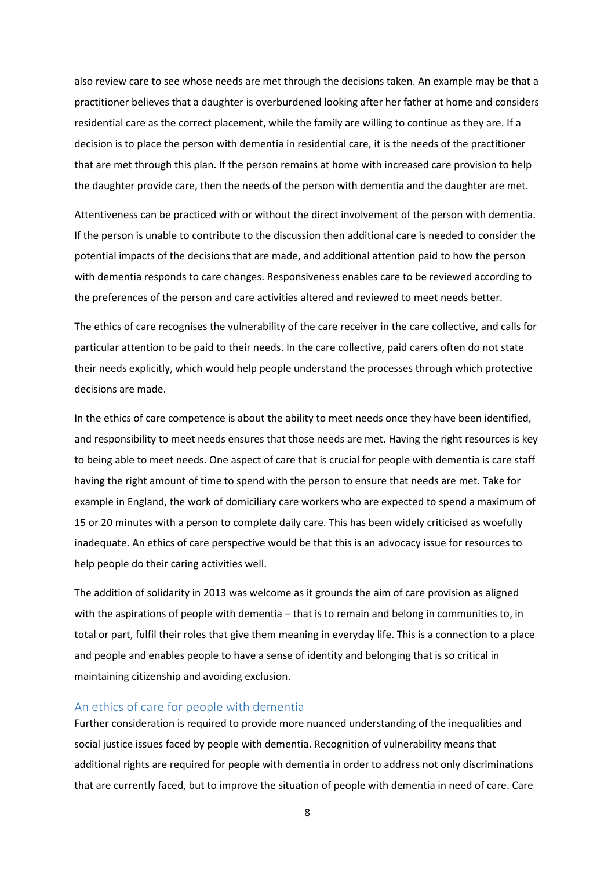also review care to see whose needs are met through the decisions taken. An example may be that a practitioner believes that a daughter is overburdened looking after her father at home and considers residential care as the correct placement, while the family are willing to continue as they are. If a decision is to place the person with dementia in residential care, it is the needs of the practitioner that are met through this plan. If the person remains at home with increased care provision to help the daughter provide care, then the needs of the person with dementia and the daughter are met.

Attentiveness can be practiced with or without the direct involvement of the person with dementia. If the person is unable to contribute to the discussion then additional care is needed to consider the potential impacts of the decisions that are made, and additional attention paid to how the person with dementia responds to care changes. Responsiveness enables care to be reviewed according to the preferences of the person and care activities altered and reviewed to meet needs better.

The ethics of care recognises the vulnerability of the care receiver in the care collective, and calls for particular attention to be paid to their needs. In the care collective, paid carers often do not state their needs explicitly, which would help people understand the processes through which protective decisions are made.

In the ethics of care competence is about the ability to meet needs once they have been identified, and responsibility to meet needs ensures that those needs are met. Having the right resources is key to being able to meet needs. One aspect of care that is crucial for people with dementia is care staff having the right amount of time to spend with the person to ensure that needs are met. Take for example in England, the work of domiciliary care workers who are expected to spend a maximum of 15 or 20 minutes with a person to complete daily care. This has been widely criticised as woefully inadequate. An ethics of care perspective would be that this is an advocacy issue for resources to help people do their caring activities well.

The addition of solidarity in 2013 was welcome as it grounds the aim of care provision as aligned with the aspirations of people with dementia – that is to remain and belong in communities to, in total or part, fulfil their roles that give them meaning in everyday life. This is a connection to a place and people and enables people to have a sense of identity and belonging that is so critical in maintaining citizenship and avoiding exclusion.

#### An ethics of care for people with dementia

Further consideration is required to provide more nuanced understanding of the inequalities and social justice issues faced by people with dementia. Recognition of vulnerability means that additional rights are required for people with dementia in order to address not only discriminations that are currently faced, but to improve the situation of people with dementia in need of care. Care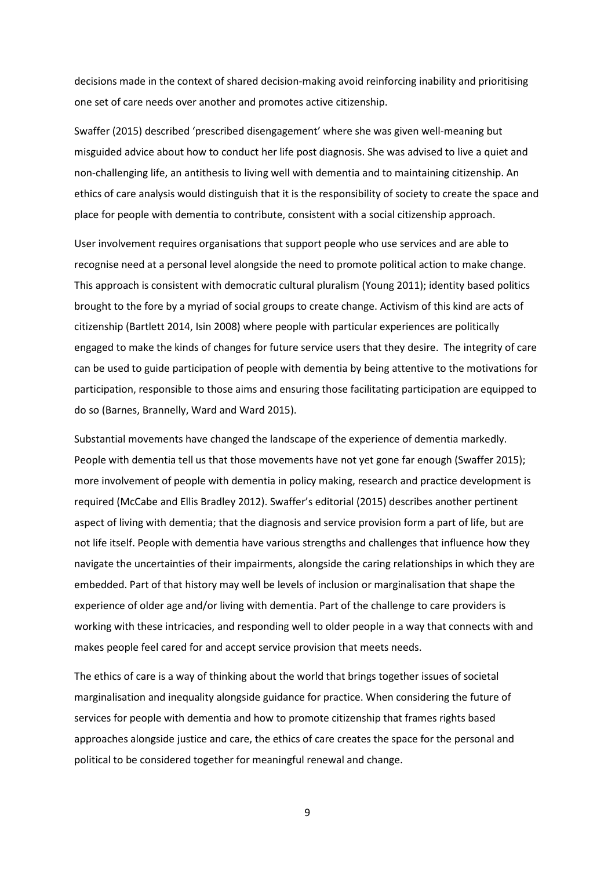decisions made in the context of shared decision-making avoid reinforcing inability and prioritising one set of care needs over another and promotes active citizenship.

Swaffer (2015) described 'prescribed disengagement' where she was given well-meaning but misguided advice about how to conduct her life post diagnosis. She was advised to live a quiet and non-challenging life, an antithesis to living well with dementia and to maintaining citizenship. An ethics of care analysis would distinguish that it is the responsibility of society to create the space and place for people with dementia to contribute, consistent with a social citizenship approach.

User involvement requires organisations that support people who use services and are able to recognise need at a personal level alongside the need to promote political action to make change. This approach is consistent with democratic cultural pluralism (Young 2011); identity based politics brought to the fore by a myriad of social groups to create change. Activism of this kind are acts of citizenship (Bartlett 2014, Isin 2008) where people with particular experiences are politically engaged to make the kinds of changes for future service users that they desire. The integrity of care can be used to guide participation of people with dementia by being attentive to the motivations for participation, responsible to those aims and ensuring those facilitating participation are equipped to do so (Barnes, Brannelly, Ward and Ward 2015).

Substantial movements have changed the landscape of the experience of dementia markedly. People with dementia tell us that those movements have not yet gone far enough (Swaffer 2015); more involvement of people with dementia in policy making, research and practice development is required (McCabe and Ellis Bradley 2012). Swaffer's editorial (2015) describes another pertinent aspect of living with dementia; that the diagnosis and service provision form a part of life, but are not life itself. People with dementia have various strengths and challenges that influence how they navigate the uncertainties of their impairments, alongside the caring relationships in which they are embedded. Part of that history may well be levels of inclusion or marginalisation that shape the experience of older age and/or living with dementia. Part of the challenge to care providers is working with these intricacies, and responding well to older people in a way that connects with and makes people feel cared for and accept service provision that meets needs.

The ethics of care is a way of thinking about the world that brings together issues of societal marginalisation and inequality alongside guidance for practice. When considering the future of services for people with dementia and how to promote citizenship that frames rights based approaches alongside justice and care, the ethics of care creates the space for the personal and political to be considered together for meaningful renewal and change.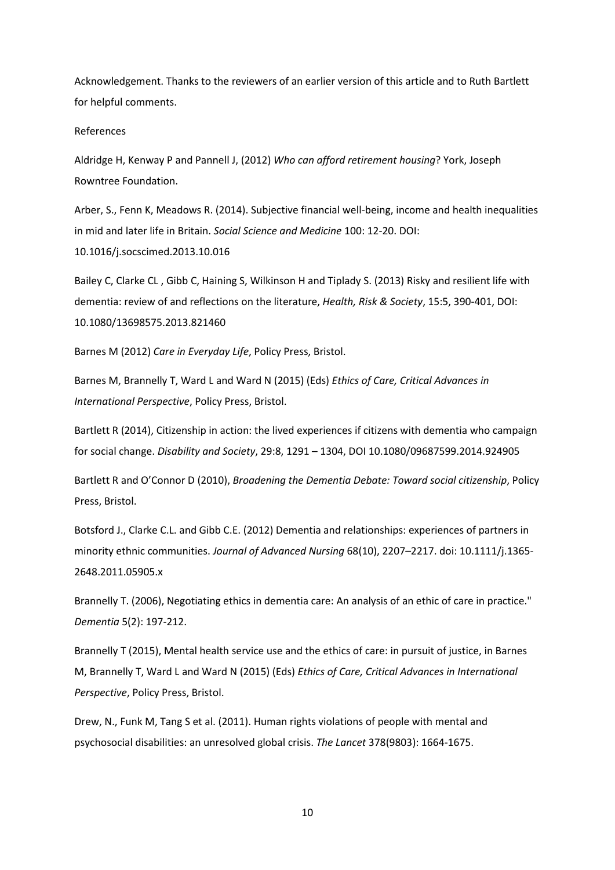Acknowledgement. Thanks to the reviewers of an earlier version of this article and to Ruth Bartlett for helpful comments.

#### References

Aldridge H, Kenway P and Pannell J, (2012) *Who can afford retirement housing*? York, Joseph Rowntree Foundation.

Arber, S., Fenn K, Meadows R. (2014). Subjective financial well-being, income and health inequalities in mid and later life in Britain. *Social Science and Medicine* 100: 12-20. DOI: 10.1016/j.socscimed.2013.10.016

Bailey C, Clarke CL , Gibb C, Haining S, Wilkinson H and Tiplady S. (2013) Risky and resilient life with dementia: review of and reflections on the literature, *Health, Risk & Society*, 15:5, 390-401, DOI: 10.1080/13698575.2013.821460

Barnes M (2012) *Care in Everyday Life*, Policy Press, Bristol.

Barnes M, Brannelly T, Ward L and Ward N (2015) (Eds) *Ethics of Care, Critical Advances in International Perspective*, Policy Press, Bristol.

Bartlett R (2014), Citizenship in action: the lived experiences if citizens with dementia who campaign for social change. *Disability and Society*, 29:8, 1291 – 1304, DOI 10.1080/09687599.2014.924905

Bartlett R and O'Connor D (2010), *Broadening the Dementia Debate: Toward social citizenship*, Policy Press, Bristol.

Botsford J., Clarke C.L. and Gibb C.E. (2012) Dementia and relationships: experiences of partners in minority ethnic communities. *Journal of Advanced Nursing* 68(10), 2207–2217. doi: 10.1111/j.1365- 2648.2011.05905.x

Brannelly T. (2006), Negotiating ethics in dementia care: An analysis of an ethic of care in practice." *Dementia* 5(2): 197-212.

Brannelly T (2015), Mental health service use and the ethics of care: in pursuit of justice, in Barnes M, Brannelly T, Ward L and Ward N (2015) (Eds) *Ethics of Care, Critical Advances in International Perspective*, Policy Press, Bristol.

Drew, N., Funk M, Tang S et al. (2011). Human rights violations of people with mental and psychosocial disabilities: an unresolved global crisis. *The Lancet* 378(9803): 1664-1675.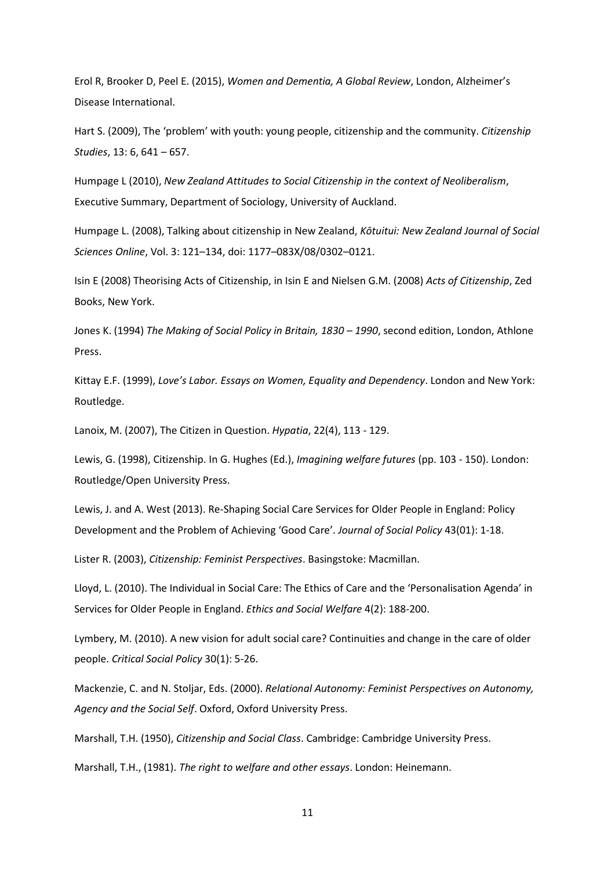Erol R, Brooker D, Peel E. (2015), *Women and Dementia, A Global Review*, London, Alzheimer's Disease International.

Hart S. (2009), The 'problem' with youth: young people, citizenship and the community. *Citizenship Studies*, 13: 6, 641 – 657.

Humpage L (2010), *New Zealand Attitudes to Social Citizenship in the context of Neoliberalism*, Executive Summary, Department of Sociology, University of Auckland.

Humpage L. (2008), Talking about citizenship in New Zealand, *Kōtuitui: New Zealand Journal of Social Sciences Online*, Vol. 3: 121–134, doi: 1177–083X/08/0302–0121.

Isin E (2008) Theorising Acts of Citizenship, in Isin E and Nielsen G.M. (2008) *Acts of Citizenship*, Zed Books, New York.

Jones K. (1994) *The Making of Social Policy in Britain, 1830 – 1990*, second edition, London, Athlone Press.

Kittay E.F. (1999), *Love's Labor. Essays on Women, Equality and Dependency*. London and New York: Routledge.

Lanoix, M. (2007), The Citizen in Question. *Hypatia*, 22(4), 113 - 129.

Lewis, G. (1998), Citizenship. In G. Hughes (Ed.), *Imagining welfare futures* (pp. 103 - 150). London: Routledge/Open University Press.

Lewis, J. and A. West (2013). Re-Shaping Social Care Services for Older People in England: Policy Development and the Problem of Achieving 'Good Care'. *Journal of Social Policy* 43(01): 1-18.

Lister R. (2003), *Citizenship: Feminist Perspectives*. Basingstoke: Macmillan.

Lloyd, L. (2010). The Individual in Social Care: The Ethics of Care and the 'Personalisation Agenda' in Services for Older People in England. *Ethics and Social Welfare* 4(2): 188-200.

Lymbery, M. (2010). A new vision for adult social care? Continuities and change in the care of older people. *Critical Social Policy* 30(1): 5-26.

Mackenzie, C. and N. Stoljar, Eds. (2000). *Relational Autonomy: Feminist Perspectives on Autonomy, Agency and the Social Self*. Oxford, Oxford University Press.

Marshall, T.H. (1950), *Citizenship and Social Class*. Cambridge: Cambridge University Press.

Marshall, T.H., (1981). *The right to welfare and other essays*. London: Heinemann.